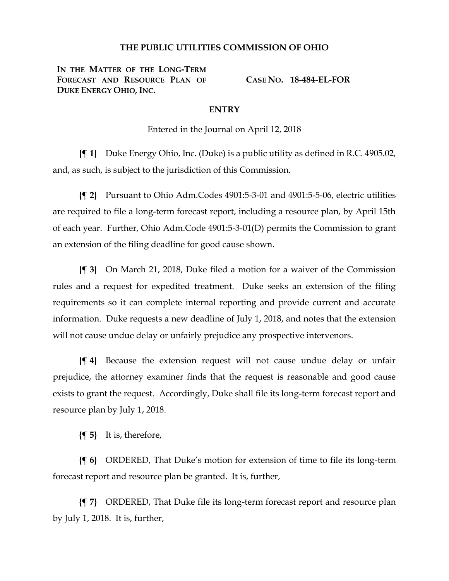## **THE PUBLIC UTILITIES COMMISSION OF OHIO**

**IN THE MATTER OF THE LONG-TERM FORECAST AND RESOURCE PLAN OF DUKE ENERGY OHIO, INC.**

**CASE NO. 18-484-EL-FOR**

## **ENTRY**

Entered in the Journal on April 12, 2018

**{¶ 1}** Duke Energy Ohio, Inc. (Duke) is a public utility as defined in R.C. 4905.02, and, as such, is subject to the jurisdiction of this Commission.

**{¶ 2}** Pursuant to Ohio Adm.Codes 4901:5-3-01 and 4901:5-5-06, electric utilities are required to file a long-term forecast report, including a resource plan, by April 15th of each year. Further, Ohio Adm.Code 4901:5-3-01(D) permits the Commission to grant an extension of the filing deadline for good cause shown.

**{¶ 3}** On March 21, 2018, Duke filed a motion for a waiver of the Commission rules and a request for expedited treatment. Duke seeks an extension of the filing requirements so it can complete internal reporting and provide current and accurate information. Duke requests a new deadline of July 1, 2018, and notes that the extension will not cause undue delay or unfairly prejudice any prospective intervenors.

**{¶ 4}** Because the extension request will not cause undue delay or unfair prejudice, the attorney examiner finds that the request is reasonable and good cause exists to grant the request. Accordingly, Duke shall file its long-term forecast report and resource plan by July 1, 2018.

**{¶ 5}** It is, therefore,

**{¶ 6}** ORDERED, That Duke's motion for extension of time to file its long-term forecast report and resource plan be granted. It is, further,

**{¶ 7}** ORDERED, That Duke file its long-term forecast report and resource plan by July 1, 2018. It is, further,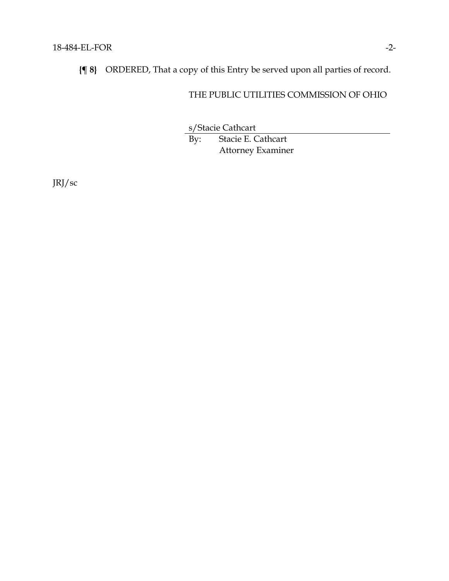**{¶ 8}** ORDERED, That a copy of this Entry be served upon all parties of record.

## THE PUBLIC UTILITIES COMMISSION OF OHIO

s/Stacie Cathcart

By: Stacie E. Cathcart Attorney Examiner

JRJ/sc